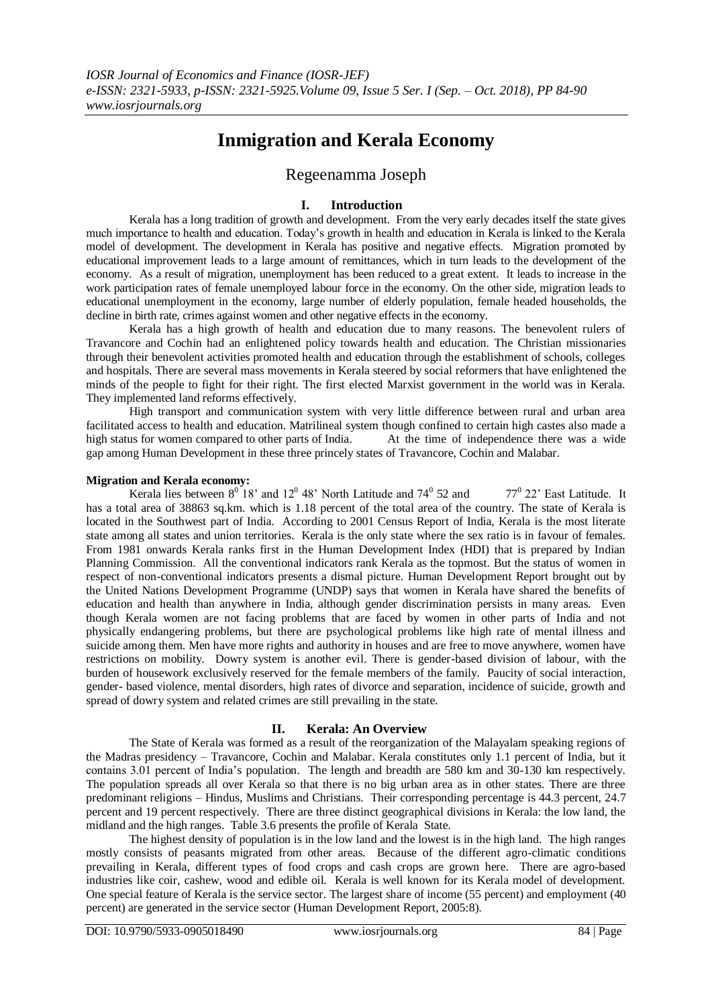# **Inmigration and Kerala Economy**

# Regeenamma Joseph

### **I. Introduction**

Kerala has a long tradition of growth and development. From the very early decades itself the state gives much importance to health and education. Today's growth in health and education in Kerala is linked to the Kerala model of development. The development in Kerala has positive and negative effects. Migration promoted by educational improvement leads to a large amount of remittances, which in turn leads to the development of the economy. As a result of migration, unemployment has been reduced to a great extent. It leads to increase in the work participation rates of female unemployed labour force in the economy. On the other side, migration leads to educational unemployment in the economy, large number of elderly population, female headed households, the decline in birth rate, crimes against women and other negative effects in the economy.

Kerala has a high growth of health and education due to many reasons. The benevolent rulers of Travancore and Cochin had an enlightened policy towards health and education. The Christian missionaries through their benevolent activities promoted health and education through the establishment of schools, colleges and hospitals. There are several mass movements in Kerala steered by social reformers that have enlightened the minds of the people to fight for their right. The first elected Marxist government in the world was in Kerala. They implemented land reforms effectively.

High transport and communication system with very little difference between rural and urban area facilitated access to health and education. Matrilineal system though confined to certain high castes also made a high status for women compared to other parts of India. At the time of independence there was a wide gap among Human Development in these three princely states of Travancore, Cochin and Malabar.

#### **Migration and Kerala economy:**

Kerala lies between  $8^{\circ}$  18' and 12<sup>0</sup> 48' North Latitude and 74<sup>0</sup> 52 and 77<sup>0</sup> 22' East Latitude. It has a total area of 38863 sq.km. which is 1.18 percent of the total area of the country. The state of Kerala is located in the Southwest part of India. According to 2001 Census Report of India, Kerala is the most literate state among all states and union territories. Kerala is the only state where the sex ratio is in favour of females. From 1981 onwards Kerala ranks first in the Human Development Index (HDI) that is prepared by Indian Planning Commission. All the conventional indicators rank Kerala as the topmost. But the status of women in respect of non-conventional indicators presents a dismal picture. Human Development Report brought out by the United Nations Development Programme (UNDP) says that women in Kerala have shared the benefits of education and health than anywhere in India, although gender discrimination persists in many areas. Even though Kerala women are not facing problems that are faced by women in other parts of India and not physically endangering problems, but there are psychological problems like high rate of mental illness and suicide among them. Men have more rights and authority in houses and are free to move anywhere, women have restrictions on mobility. Dowry system is another evil. There is gender-based division of labour, with the burden of housework exclusively reserved for the female members of the family. Paucity of social interaction, gender- based violence, mental disorders, high rates of divorce and separation, incidence of suicide, growth and spread of dowry system and related crimes are still prevailing in the state.

#### **II. Kerala: An Overview**

The State of Kerala was formed as a result of the reorganization of the Malayalam speaking regions of the Madras presidency – Travancore, Cochin and Malabar. Kerala constitutes only 1.1 percent of India, but it contains 3.01 percent of India's population. The length and breadth are 580 km and 30-130 km respectively. The population spreads all over Kerala so that there is no big urban area as in other states. There are three predominant religions – Hindus, Muslims and Christians. Their corresponding percentage is 44.3 percent, 24.7 percent and 19 percent respectively. There are three distinct geographical divisions in Kerala: the low land, the midland and the high ranges. Table 3.6 presents the profile of Kerala State.

The highest density of population is in the low land and the lowest is in the high land. The high ranges mostly consists of peasants migrated from other areas. Because of the different agro-climatic conditions prevailing in Kerala, different types of food crops and cash crops are grown here. There are agro-based industries like coir, cashew, wood and edible oil. Kerala is well known for its Kerala model of development. One special feature of Kerala is the service sector. The largest share of income (55 percent) and employment (40 percent) are generated in the service sector (Human Development Report, 2005:8).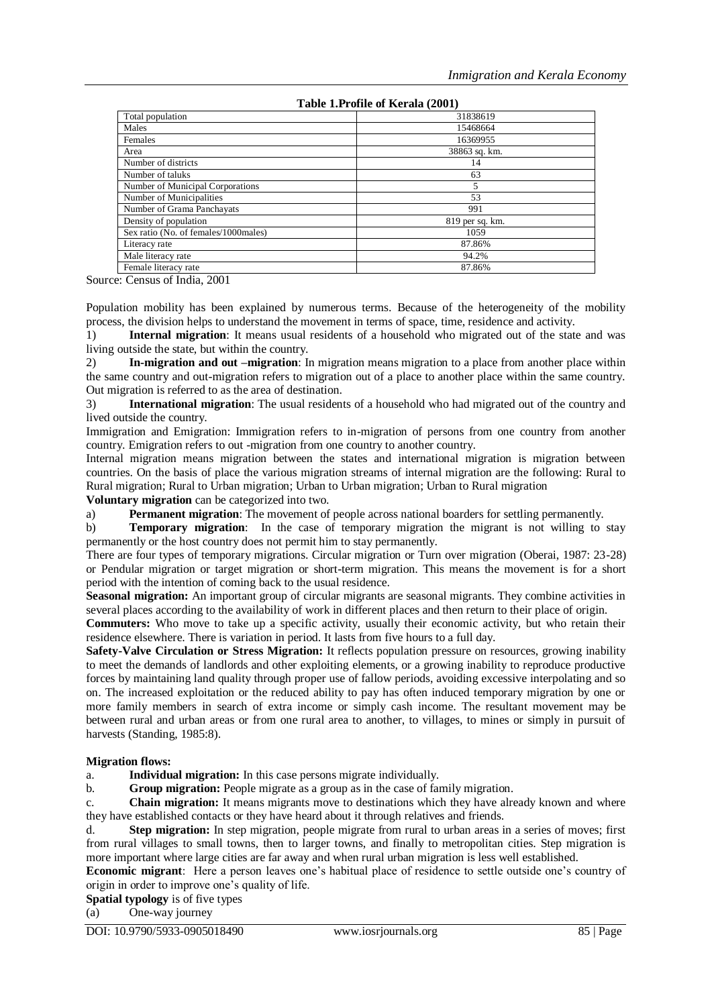# **Table 1.Profile of Kerala (2001)**

| Total population                     | 31838619        |
|--------------------------------------|-----------------|
| Males                                | 15468664        |
| Females                              | 16369955        |
| Area                                 | 38863 sq. km.   |
| Number of districts                  | 14              |
| Number of taluks                     | 63              |
| Number of Municipal Corporations     | 5               |
| Number of Municipalities             | 53              |
| Number of Grama Panchayats           | 991             |
| Density of population                | 819 per sq. km. |
| Sex ratio (No. of females/1000males) | 1059            |
| Literacy rate                        | 87.86%          |
| Male literacy rate                   | 94.2%           |
| Female literacy rate                 | 87.86%          |

Source: Census of India, 2001

Population mobility has been explained by numerous terms. Because of the heterogeneity of the mobility process, the division helps to understand the movement in terms of space, time, residence and activity.

1) **Internal migration**: It means usual residents of a household who migrated out of the state and was living outside the state, but within the country.

2) **In-migration and out –migration**: In migration means migration to a place from another place within the same country and out-migration refers to migration out of a place to another place within the same country. Out migration is referred to as the area of destination.

3) **International migration**: The usual residents of a household who had migrated out of the country and lived outside the country.

Immigration and Emigration: Immigration refers to in-migration of persons from one country from another country. Emigration refers to out -migration from one country to another country.

Internal migration means migration between the states and international migration is migration between countries. On the basis of place the various migration streams of internal migration are the following: Rural to Rural migration; Rural to Urban migration; Urban to Urban migration; Urban to Rural migration

#### **Voluntary migration** can be categorized into two.

a) **Permanent migration**: The movement of people across national boarders for settling permanently.

b) **Temporary migration**: In the case of temporary migration the migrant is not willing to stay permanently or the host country does not permit him to stay permanently.

There are four types of temporary migrations. Circular migration or Turn over migration (Oberai, 1987: 23-28) or Pendular migration or target migration or short-term migration. This means the movement is for a short period with the intention of coming back to the usual residence.

**Seasonal migration:** An important group of circular migrants are seasonal migrants. They combine activities in several places according to the availability of work in different places and then return to their place of origin.

**Commuters:** Who move to take up a specific activity, usually their economic activity, but who retain their residence elsewhere. There is variation in period. It lasts from five hours to a full day.

**Safety-Valve Circulation or Stress Migration:** It reflects population pressure on resources, growing inability to meet the demands of landlords and other exploiting elements, or a growing inability to reproduce productive forces by maintaining land quality through proper use of fallow periods, avoiding excessive interpolating and so on. The increased exploitation or the reduced ability to pay has often induced temporary migration by one or more family members in search of extra income or simply cash income. The resultant movement may be between rural and urban areas or from one rural area to another, to villages, to mines or simply in pursuit of harvests (Standing, 1985:8).

#### **Migration flows:**

a. **Individual migration:** In this case persons migrate individually.

b. **Group migration:** People migrate as a group as in the case of family migration.

c. **Chain migration:** It means migrants move to destinations which they have already known and where they have established contacts or they have heard about it through relatives and friends.

d. **Step migration:** In step migration, people migrate from rural to urban areas in a series of moves; first from rural villages to small towns, then to larger towns, and finally to metropolitan cities. Step migration is more important where large cities are far away and when rural urban migration is less well established.

**Economic migrant**: Here a person leaves one's habitual place of residence to settle outside one's country of origin in order to improve one's quality of life.

**Spatial typology** is of five types

(a) One-way journey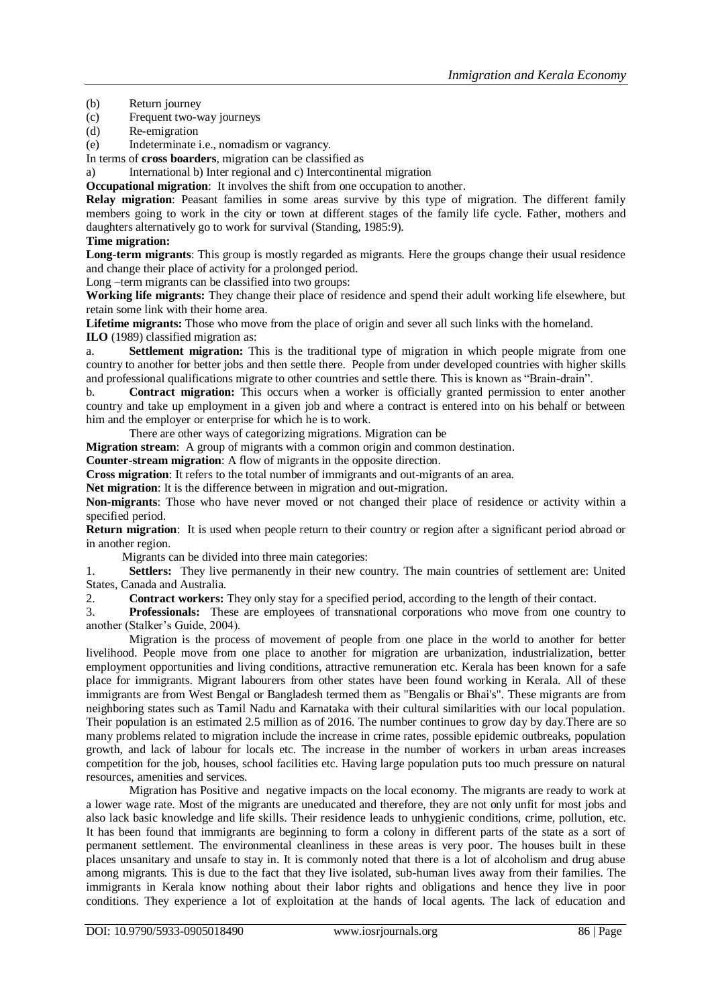(b) Return journey

(c) Frequent two-way journeys

(d) Re-emigration

(e) Indeterminate i.e., nomadism or vagrancy.

In terms of **cross boarders**, migration can be classified as

a) International b) Inter regional and c) Intercontinental migration

**Occupational migration**: It involves the shift from one occupation to another.

**Relay migration**: Peasant families in some areas survive by this type of migration. The different family members going to work in the city or town at different stages of the family life cycle. Father, mothers and daughters alternatively go to work for survival (Standing, 1985:9).

#### **Time migration:**

**Long-term migrants**: This group is mostly regarded as migrants. Here the groups change their usual residence and change their place of activity for a prolonged period.

Long –term migrants can be classified into two groups:

**Working life migrants:** They change their place of residence and spend their adult working life elsewhere, but retain some link with their home area.

**Lifetime migrants:** Those who move from the place of origin and sever all such links with the homeland.

**ILO** (1989) classified migration as:

a. **Settlement migration:** This is the traditional type of migration in which people migrate from one country to another for better jobs and then settle there. People from under developed countries with higher skills and professional qualifications migrate to other countries and settle there. This is known as "Brain-drain".

b. **Contract migration:** This occurs when a worker is officially granted permission to enter another country and take up employment in a given job and where a contract is entered into on his behalf or between him and the employer or enterprise for which he is to work.

There are other ways of categorizing migrations. Migration can be

**Migration stream**: A group of migrants with a common origin and common destination.

**Counter-stream migration**: A flow of migrants in the opposite direction.

**Cross migration**: It refers to the total number of immigrants and out-migrants of an area.

Net migration: It is the difference between in migration and out-migration.

**Non-migrants**: Those who have never moved or not changed their place of residence or activity within a specified period.

**Return migration**: It is used when people return to their country or region after a significant period abroad or in another region.

Migrants can be divided into three main categories:

1. **Settlers:** They live permanently in their new country. The main countries of settlement are: United States, Canada and Australia.

2. **Contract workers:** They only stay for a specified period, according to the length of their contact.

3. **Professionals:** These are employees of transnational corporations who move from one country to another (Stalker's Guide, 2004).

Migration is the process of movement of people from one place in the world to another for better livelihood. People move from one place to another for migration are urbanization, industrialization, better employment opportunities and living conditions, attractive remuneration etc. Kerala has been known for a safe place for immigrants. Migrant labourers from other states have been found working in Kerala. All of these immigrants are from West Bengal or Bangladesh termed them as "Bengalis or Bhai's". These migrants are from neighboring states such as Tamil Nadu and Karnataka with their cultural similarities with our local population. Their population is an estimated 2.5 million as of 2016. The number continues to grow day by day.There are so many problems related to migration include the increase in crime rates, possible epidemic outbreaks, population growth, and lack of labour for locals etc. The increase in the number of workers in urban areas increases competition for the job, houses, school facilities etc. Having large population puts too much pressure on natural resources, amenities and services.

Migration has Positive and negative impacts on the local economy. The migrants are ready to work at a lower wage rate. Most of the migrants are uneducated and therefore, they are not only unfit for most jobs and also lack basic knowledge and life skills. Their residence leads to unhygienic conditions, crime, pollution, etc. It has been found that immigrants are beginning to form a colony in different parts of the state as a sort of permanent settlement. The environmental cleanliness in these areas is very poor. The houses built in these places unsanitary and unsafe to stay in. It is commonly noted that there is a lot of alcoholism and drug abuse among migrants. This is due to the fact that they live isolated, sub-human lives away from their families. The immigrants in Kerala know nothing about their labor rights and obligations and hence they live in poor conditions. They experience a lot of exploitation at the hands of local agents. The lack of education and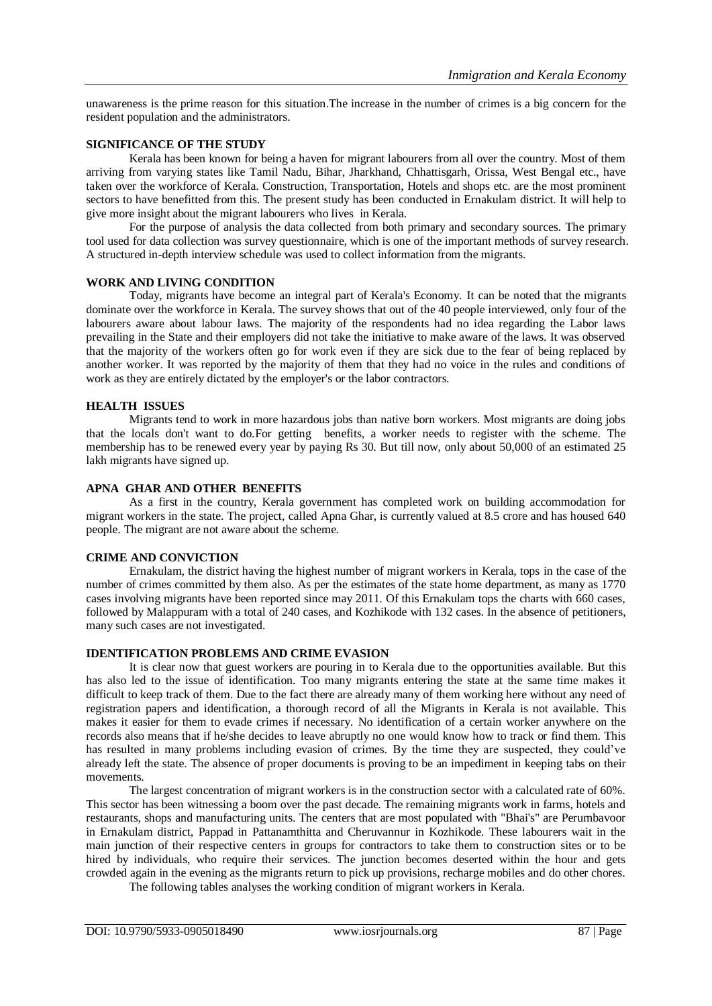unawareness is the prime reason for this situation.The increase in the number of crimes is a big concern for the resident population and the administrators.

#### **SIGNIFICANCE OF THE STUDY**

Kerala has been known for being a haven for migrant labourers from all over the country. Most of them arriving from varying states like Tamil Nadu, Bihar, Jharkhand, Chhattisgarh, Orissa, West Bengal etc., have taken over the workforce of Kerala. Construction, Transportation, Hotels and shops etc. are the most prominent sectors to have benefitted from this. The present study has been conducted in Ernakulam district. It will help to give more insight about the migrant labourers who lives in Kerala.

For the purpose of analysis the data collected from both primary and secondary sources. The primary tool used for data collection was survey questionnaire, which is one of the important methods of survey research. A structured in-depth interview schedule was used to collect information from the migrants.

#### **WORK AND LIVING CONDITION**

Today, migrants have become an integral part of Kerala's Economy. It can be noted that the migrants dominate over the workforce in Kerala. The survey shows that out of the 40 people interviewed, only four of the labourers aware about labour laws. The majority of the respondents had no idea regarding the Labor laws prevailing in the State and their employers did not take the initiative to make aware of the laws. It was observed that the majority of the workers often go for work even if they are sick due to the fear of being replaced by another worker. It was reported by the majority of them that they had no voice in the rules and conditions of work as they are entirely dictated by the employer's or the labor contractors.

#### **HEALTH ISSUES**

Migrants tend to work in more hazardous jobs than native born workers. Most migrants are doing jobs that the locals don't want to do.For getting benefits, a worker needs to register with the scheme. The membership has to be renewed every year by paying Rs 30. But till now, only about 50,000 of an estimated 25 lakh migrants have signed up.

#### **APNA GHAR AND OTHER BENEFITS**

As a first in the country, Kerala government has completed work on building accommodation for migrant workers in the state. The project, called Apna Ghar, is currently valued at 8.5 crore and has housed 640 people. The migrant are not aware about the scheme.

## **CRIME AND CONVICTION**

Ernakulam, the district having the highest number of migrant workers in Kerala, tops in the case of the number of crimes committed by them also. As per the estimates of the state home department, as many as 1770 cases involving migrants have been reported since may 2011. Of this Ernakulam tops the charts with 660 cases, followed by Malappuram with a total of 240 cases, and Kozhikode with 132 cases. In the absence of petitioners, many such cases are not investigated.

#### **IDENTIFICATION PROBLEMS AND CRIME EVASION**

It is clear now that guest workers are pouring in to Kerala due to the opportunities available. But this has also led to the issue of identification. Too many migrants entering the state at the same time makes it difficult to keep track of them. Due to the fact there are already many of them working here without any need of registration papers and identification, a thorough record of all the Migrants in Kerala is not available. This makes it easier for them to evade crimes if necessary. No identification of a certain worker anywhere on the records also means that if he/she decides to leave abruptly no one would know how to track or find them. This has resulted in many problems including evasion of crimes. By the time they are suspected, they could've already left the state. The absence of proper documents is proving to be an impediment in keeping tabs on their movements.

The largest concentration of migrant workers is in the construction sector with a calculated rate of 60%. This sector has been witnessing a boom over the past decade. The remaining migrants work in farms, hotels and restaurants, shops and manufacturing units. The centers that are most populated with "Bhai's" are Perumbavoor in Ernakulam district, Pappad in Pattanamthitta and Cheruvannur in Kozhikode. These labourers wait in the main junction of their respective centers in groups for contractors to take them to construction sites or to be hired by individuals, who require their services. The junction becomes deserted within the hour and gets crowded again in the evening as the migrants return to pick up provisions, recharge mobiles and do other chores.

The following tables analyses the working condition of migrant workers in Kerala.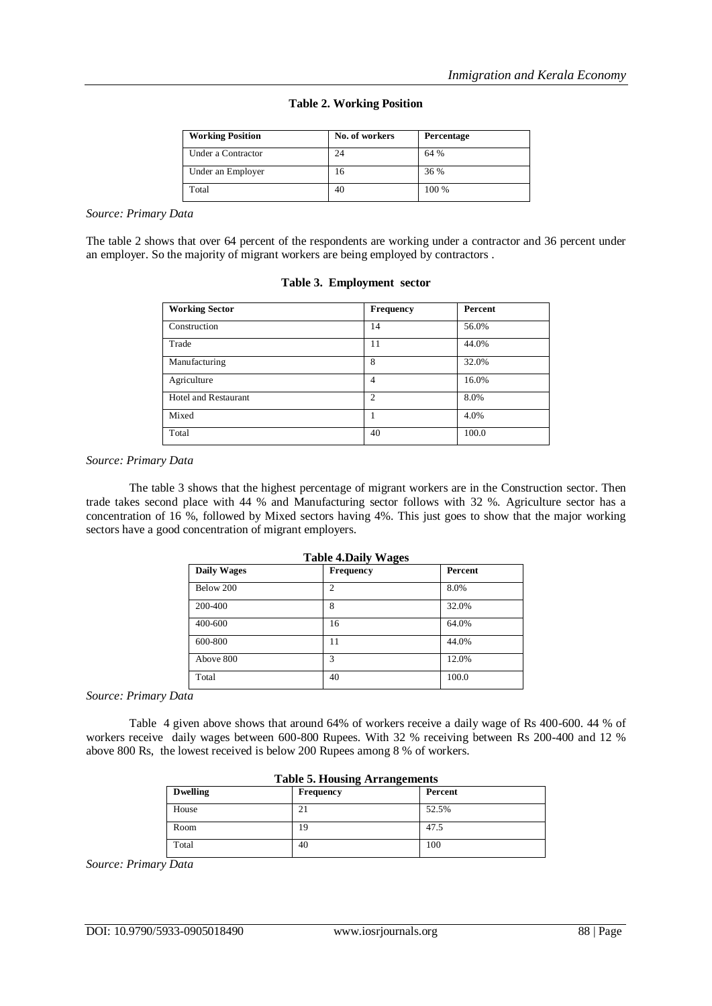|  | <b>Table 2. Working Position</b> |  |
|--|----------------------------------|--|
|  |                                  |  |

| <b>Working Position</b> | No. of workers | Percentage |
|-------------------------|----------------|------------|
| Under a Contractor      | 24             | 64 %       |
| Under an Employer       | 16             | 36 %       |
| Total                   | 40             | 100 %      |

#### *Source: Primary Data*

The table 2 shows that over 64 percent of the respondents are working under a contractor and 36 percent under an employer. So the majority of migrant workers are being employed by contractors .

| Table 3. Employment sector |  |
|----------------------------|--|
|                            |  |

| <b>Working Sector</b>       | <b>Frequency</b> | Percent |
|-----------------------------|------------------|---------|
| Construction                | 14               | 56.0%   |
| Trade                       | 11               | 44.0%   |
| Manufacturing               | 8                | 32.0%   |
| Agriculture                 | 4                | 16.0%   |
| <b>Hotel and Restaurant</b> | $\overline{c}$   | 8.0%    |
| Mixed                       |                  | 4.0%    |
| Total                       | 40               | 100.0   |

#### *Source: Primary Data*

The table 3 shows that the highest percentage of migrant workers are in the Construction sector. Then trade takes second place with 44 % and Manufacturing sector follows with 32 %. Agriculture sector has a concentration of 16 %, followed by Mixed sectors having 4%. This just goes to show that the major working sectors have a good concentration of migrant employers.

| <b>Table 4. Daily Wages</b> |                |         |
|-----------------------------|----------------|---------|
| <b>Daily Wages</b>          | Frequency      | Percent |
| Below 200                   | $\overline{c}$ | 8.0%    |
| 200-400                     | 8              | 32.0%   |
| 400-600                     | 16             | 64.0%   |
| 600-800                     | 11             | 44.0%   |
| Above 800                   | 3              | 12.0%   |
| Total                       | 40             | 100.0   |

*Source: Primary Data*

Table 4 given above shows that around 64% of workers receive a daily wage of Rs 400-600. 44 % of workers receive daily wages between 600-800 Rupees. With 32 % receiving between Rs 200-400 and 12 % above 800 Rs, the lowest received is below 200 Rupees among 8 % of workers.

| Table 5. Housing Arrangements |                  |         |
|-------------------------------|------------------|---------|
| <b>Dwelling</b>               | <b>Frequency</b> | Percent |
| House                         | 21               | 52.5%   |
| Room                          | 19               | 47.5    |
| Total                         | 40               | 100     |

# **Table 5. Housing Arrangements**

*Source: Primary Data*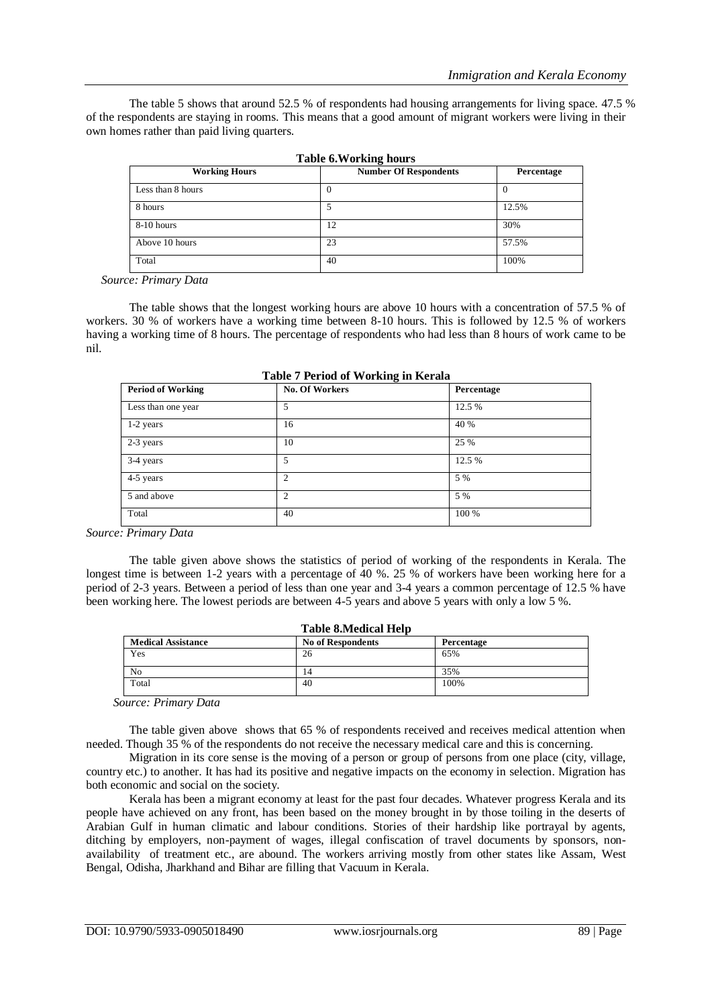The table 5 shows that around 52.5 % of respondents had housing arrangements for living space. 47.5 % of the respondents are staying in rooms. This means that a good amount of migrant workers were living in their own homes rather than paid living quarters.

| <b>Working Hours</b> | L'ADIC 0. <i>W</i> 01 KHIG HOULS<br><b>Number Of Respondents</b> | Percentage |
|----------------------|------------------------------------------------------------------|------------|
| Less than 8 hours    | O                                                                | $\theta$   |
| 8 hours              |                                                                  | 12.5%      |
| 8-10 hours           | 12                                                               | 30%        |
| Above 10 hours       | 23                                                               | 57.5%      |
| Total                | 40                                                               | 100%       |

**Table 6.Working hours**

*Source: Primary Data*

The table shows that the longest working hours are above 10 hours with a concentration of 57.5 % of workers. 30 % of workers have a working time between 8-10 hours. This is followed by 12.5 % of workers having a working time of 8 hours. The percentage of respondents who had less than 8 hours of work came to be nil.

| <b>Period of Working</b> | $\circ$<br><b>No. Of Workers</b> | Percentage |
|--------------------------|----------------------------------|------------|
| Less than one year       | 5                                | 12.5 %     |
| 1-2 years                | 16                               | 40 %       |
| 2-3 years                | 10                               | 25 %       |
| 3-4 years                | 5                                | 12.5 %     |
| 4-5 years                | 2                                | 5 %        |
| 5 and above              | 2                                | 5 %        |
| Total                    | 40                               | 100 %      |

| Table 7 Period of Working in Kerala |
|-------------------------------------|
|-------------------------------------|

*Source: Primary Data*

The table given above shows the statistics of period of working of the respondents in Kerala. The longest time is between 1-2 years with a percentage of 40 %. 25 % of workers have been working here for a period of 2-3 years. Between a period of less than one year and 3-4 years a common percentage of 12.5 % have been working here. The lowest periods are between 4-5 years and above 5 years with only a low 5 %.

| <b>Table 8. Medical Help</b> |                          |            |
|------------------------------|--------------------------|------------|
| <b>Medical Assistance</b>    | <b>No of Respondents</b> | Percentage |
| Yes                          | 26                       | 65%        |
| N <sub>0</sub>               | 14                       | 35%        |
| Total                        | 40                       | 100%       |

*Source: Primary Data*

The table given above shows that 65 % of respondents received and receives medical attention when needed. Though 35 % of the respondents do not receive the necessary medical care and this is concerning.

Migration in its core sense is the moving of a person or group of persons from one place (city, village, country etc.) to another. It has had its positive and negative impacts on the economy in selection. Migration has both economic and social on the society.

Kerala has been a migrant economy at least for the past four decades. Whatever progress Kerala and its people have achieved on any front, has been based on the money brought in by those toiling in the deserts of Arabian Gulf in human climatic and labour conditions. Stories of their hardship like portrayal by agents, ditching by employers, non-payment of wages, illegal confiscation of travel documents by sponsors, nonavailability of treatment etc., are abound. The workers arriving mostly from other states like Assam, West Bengal, Odisha, Jharkhand and Bihar are filling that Vacuum in Kerala.